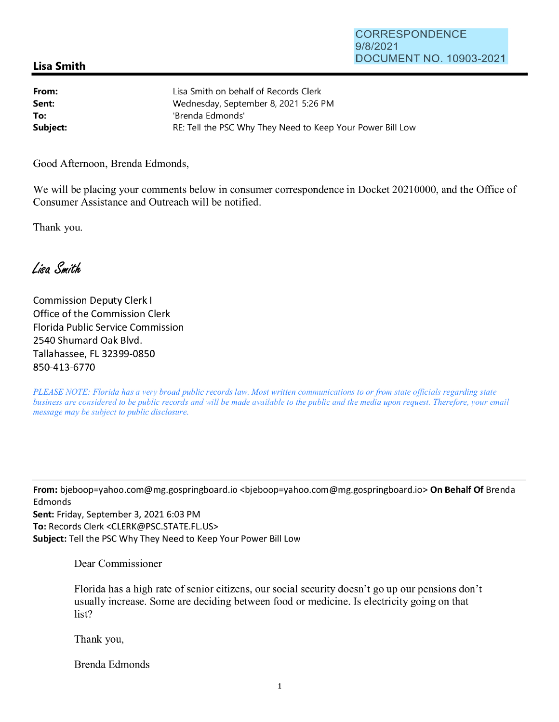## **Lisa Smith**

| From:    | Lisa Smith on behalf of Records Clerk                      |
|----------|------------------------------------------------------------|
| Sent:    | Wednesday, September 8, 2021 5:26 PM                       |
| To:      | 'Brenda Edmonds'                                           |
| Subject: | RE: Tell the PSC Why They Need to Keep Your Power Bill Low |

Good Afternoon, Brenda Edmonds,

We will be placing your comments below in consumer correspondence in Docket 20210000, and the Office of Consumer Assistance and Outreach will be notified.

Thank you.

Lisa Smith

Commission Deputy Clerk I Office of the Commission Clerk Florida Public Service Commission 2540 Shumard Oak Blvd. Tallahassee, FL 32399-0850 850-413-6770

*PLEASE NOTE: Florida has a very broad public records law. Most written communications to or from state officials regarding state business are considered to be public records and will be made available to the public and the media upon request. Therefore, your email message may be subject to public disclosure.* 

**From:** bjeboop=yahoo.com@mg.gospringboard.io <bjeboop=yahoo.com@mg.gospringboard.io> **On Behalf Of** Brenda Edmonds **Sent:** Friday, September 3, 2021 6:03 PM **To:** Records Clerk <CLERK@PSC.STATE.FL.US> **Subject:** Tell the PSC Why They Need to Keep Your Power Bill Low

Dear Commissioner

Florida has a high rate of senior citizens, our social security doesn't go up our pensions don't usually increase. Some are deciding between food or medicine. Is electricity going on that list?

Thank you,

Brenda Edmonds